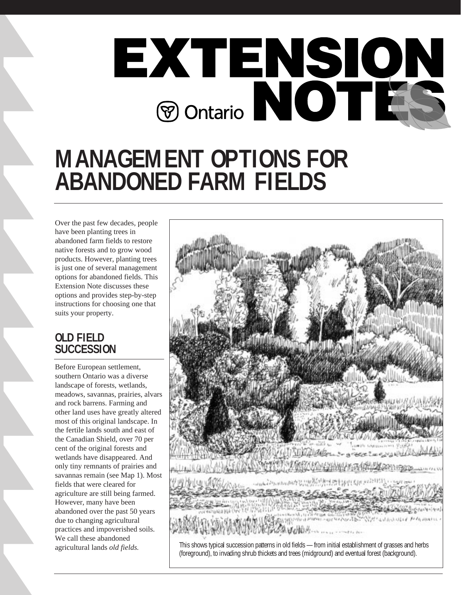

# **MANAGEMENT OPTIONS FOR ABANDONED FARM FIELDS**

Over the past few decades, people have been planting trees in abandoned farm fields to restore native forests and to grow wood products. However, planting trees is just one of several management options for abandoned fields. This Extension Note discusses these options and provides step-by-step instructions for choosing one that suits your property.

# **OLD FIELD SUCCESSION**

Before European settlement, southern Ontario was a diverse landscape of forests, wetlands, meadows, savannas, prairies, alvars and rock barrens. Farming and other land uses have greatly altered most of this original landscape. In the fertile lands south and east of the Canadian Shield, over 70 per cent of the original forests and wetlands have disappeared. And only tiny remnants of prairies and savannas remain (see Map 1). Most fields that were cleared for agriculture are still being farmed. However, many have been abandoned over the past 50 years due to changing agricultural practices and impoverished soils. We call these abandoned agricultural lands *old fields.* 

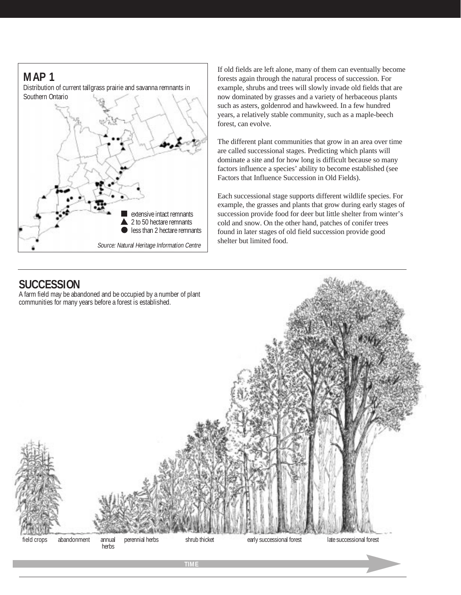

If old fields are left alone, many of them can eventually become forests again through the natural process of succession. For example, shrubs and trees will slowly invade old fields that are now dominated by grasses and a variety of herbaceous plants such as asters, goldenrod and hawkweed. In a few hundred years, a relatively stable community, such as a maple-beech forest, can evolve.

The different plant communities that grow in an area over time are called successional stages. Predicting which plants will dominate a site and for how long is difficult because so many factors influence a species' ability to become established (see Factors that Influence Succession in Old Fields).

Each successional stage supports different wildlife species. For example, the grasses and plants that grow during early stages of succession provide food for deer but little shelter from winter's cold and snow. On the other hand, patches of conifer trees found in later stages of old field succession provide good shelter but limited food.

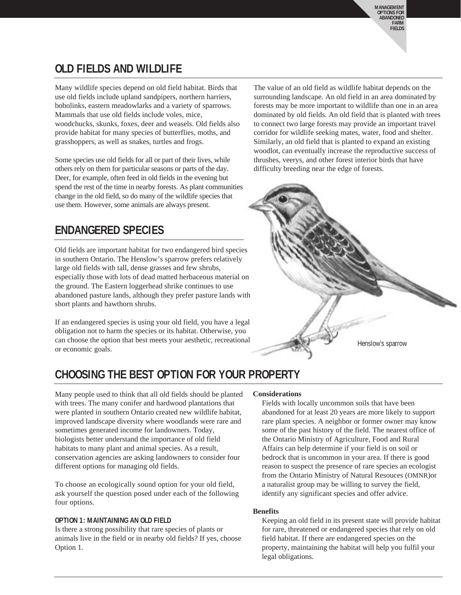# **OLD FIELDS AND WILDLIFE**

Many wildlife species depend on old field habitat. Birds that use old fields include upland sandpipers, northern harriers, bobolinks, eastern meadowlarks and a variety of sparrows. Mammals that use old fields include voles, mice, woodchucks, skunks, foxes, deer and weasels. Old fields also provide habitat for many species of butterflies, moths, and grasshoppers, as well as snakes, turtles and frogs.

Some species use old fields for all or part of their lives, while others rely on them for particular seasons or parts of the day. Deer, for example, often feed in old fields in the evening but spend the rest of the time in nearby forests. As plant communities change in the old field, so do many of the wildlife species that use them. However, some animals are always present.

# **ENDANGERED SPECIES**

Old fields are important habitat for two endangered bird species in southern Ontario. The Henslow's sparrow prefers relatively large old fields with tall, dense grasses and few shrubs, especially those with lots of dead matted herbaceous material on the ground. The Eastern loggerhead shrike continues to use abandoned pasture lands, although they prefer pasture lands with short plants and hawthorn shrubs.

If an endangered species is using your old field, you have a legal obligation not to harm the species or its habitat. Otherwise, you can choose the option that best meets your aesthetic, recreational or economic goals.

The value of an old field as wildlife habitat depends on the surrounding landscape. An old field in an area dominated by forests may be more important to wildlife than one in an area dominated by old fields. An old field that is planted with trees to connect two large forests may provide an important travel corridor for wildlife seeking mates, water, food and shelter. Similarly, an old field that is planted to expand an existing woodlot, can eventually increase the reproductive success of thrushes, veerys, and other forest interior birds that have difficulty breeding near the edge of forests.



# **CHOOSING THE BEST OPTION FOR YOUR PROPERTY**

Many people used to think that all old fields should be planted with trees. The many conifer and hardwood plantations that were planted in southern Ontario created new wildlife habitat, improved landscape diversity where woodlands were rare and sometimes generated income for landowners. Today, biologists better understand the importance of old field habitats to many plant and animal species. As a result, conservation agencies are asking landowners to consider four different options for managing old fields.

To choose an ecologically sound option for your old field, ask yourself the question posed under each of the following four options.

### **OPTION 1: MAINTAINING AN OLD FIELD**

Is there a strong possibility that rare species of plants or animals live in the field or in nearby old fields? If yes, choose Option 1.

# **Considerations**

Fields with locally uncommon soils that have been abandoned for at least 20 years are more likely to support rare plant species. A neighbor or former owner may know some of the past history of the field. The nearest office of the Ontario Ministry of Agriculture, Food and Rural Affairs can help determine if your field is on soil or bedrock that is uncommon in your area. If there is good reason to suspect the presence of rare species an ecologist from the Ontario Ministry of Natural Resouces (OMNR)or a naturalist group may be willing to survey the field, identify any significant species and offer advice.

### **Benefits**

Keeping an old field in its present state will provide habitat for rare, threatened or endangered species that rely on old field habitat. If there are endangered species on the property, maintaining the habitat will help you fulfil your legal obligations.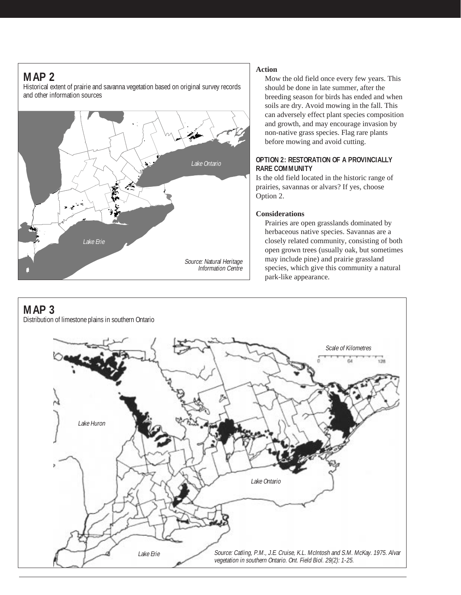# **MAP 2**

Historical extent of prairie and savanna vegetation based on original survey records and other information sources



# **Action**

Mow the old field once every few years. This should be done in late summer, after the breeding season for birds has ended and when soils are dry. Avoid mowing in the fall. This can adversely effect plant species composition and growth, and may encourage invasion by non-native grass species. Flag rare plants before mowing and avoid cutting.

### **OPTION 2: RESTORATION OF A PROVINCIALLY RARE COMMUNITY**

Is the old field located in the historic range of prairies, savannas or alvars? If yes, choose Option 2.

### **Considerations**

Prairies are open grasslands dominated by herbaceous native species. Savannas are a closely related community, consisting of both open grown trees (usually oak, but sometimes may include pine) and prairie grassland species, which give this community a natural park-like appearance.



Distribution of limestone plains in southern Ontario

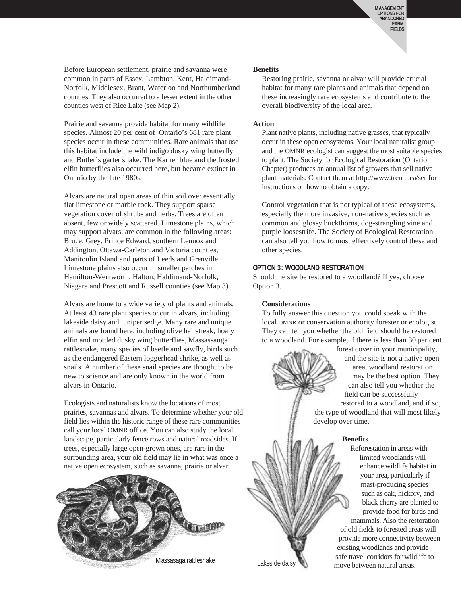Before European settlement, prairie and savanna were common in parts of Essex, Lambton, Kent, Haldimand-Norfolk, Middlesex, Brant, Waterloo and Northumberland counties. They also occurred to a lesser extent in the other counties west of Rice Lake (see Map 2).

Prairie and savanna provide habitat for many wildlife species. Almost 20 per cent of Ontario's 681 rare plant species occur in these communities. Rare animals that use this habitat include the wild indigo dusky wing butterfly and Butler's garter snake. The Karner blue and the frosted elfin butterflies also occurred here, but became extinct in Ontario by the late 1980s.

Alvars are natural open areas of thin soil over essentially flat limestone or marble rock. They support sparse vegetation cover of shrubs and herbs. Trees are often absent, few or widely scattered. Limestone plains, which may support alvars, are common in the following areas: Bruce, Grey, Prince Edward, southern Lennox and Addington, Ottawa-Carleton and Victoria counties, Manitoulin Island and parts of Leeds and Grenville. Limestone plains also occur in smaller patches in Hamilton-Wentworth, Halton, Haldimand-Norfolk, Niagara and Prescott and Russell counties (see Map 3).

Alvars are home to a wide variety of plants and animals. At least 43 rare plant species occur in alvars, including lakeside daisy and juniper sedge. Many rare and unique animals are found here, including olive hairstreak, hoary elfin and mottled dusky wing butterflies, Massassauga rattlesnake, many species of beetle and sawfly, birds such as the endangered Eastern loggerhead shrike, as well as snails. A number of these snail species are thought to be new to science and are only known in the world from alvars in Ontario.

Ecologists and naturalists know the locations of most prairies, savannas and alvars. To determine whether your old field lies within the historic range of these rare communities call your local OMNR office. You can also study the local landscape, particularly fence rows and natural roadsides. If trees, especially large open-grown ones, are rare in the surrounding area, your old field may lie in what was once a native open ecosystem, such as savanna, prairie or alvar.



#### **Benefits**

Restoring prairie, savanna or alvar will provide crucial habitat for many rare plants and animals that depend on these increasingly rare ecosystems and contribute to the overall biodiversity of the local area.

#### **Action**

Plant native plants, including native grasses, that typically occur in these open ecosystems. Your local naturalist group and the OMNR ecologist can suggest the most suitable species to plant. The Society for Ecological Restoration (Ontario Chapter) produces an annual list of growers that sell native plant materials. Contact them at http://www.trentu.ca/ser for instructions on how to obtain a copy.

Control vegetation that is not typical of these ecosystems, especially the more invasive, non-native species such as common and glossy buckthorns, dog-strangling vine and purple loosestrife. The Society of Ecological Restoration can also tell you how to most effectively control these and other species.

#### **OPTION 3: WOODLAND RESTORATION**

Should the site be restored to a woodland? If yes, choose Option 3.

#### **Considerations**

To fully answer this question you could speak with the local OMNR or conservation authority forester or ecologist. They can tell you whether the old field should be restored to a woodland. For example, if there is less than 30 per cent

> forest cover in your municipality, and the site is not a native open area, woodland restoration may be the best option. They can also tell you whether the field can be successfully

restored to a woodland, and if so, the type of woodland that will most likely develop over time.

#### **Benefits**

Reforestation in areas with limited woodlands will enhance wildlife habitat in your area, particularly if mast-producing species such as oak, hickory, and black cherry are planted to provide food for birds and mammals. Also the restoration of old fields to forested areas will provide more connectivity between existing woodlands and provide safe travel corridors for wildlife to move between natural areas.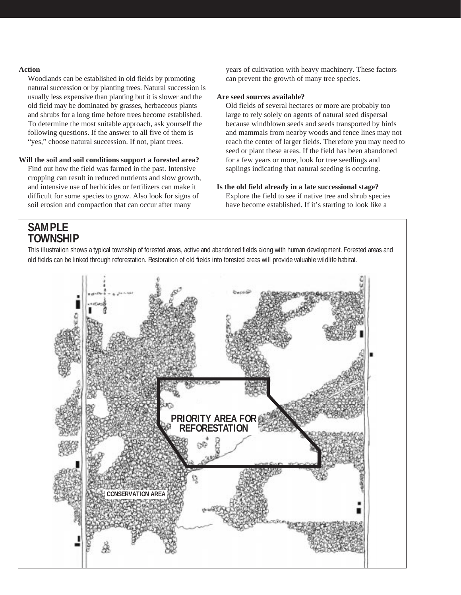#### **Action**

Woodlands can be established in old fields by promoting natural succession or by planting trees. Natural succession is usually less expensive than planting but it is slower and the old field may be dominated by grasses, herbaceous plants and shrubs for a long time before trees become established. To determine the most suitable approach, ask yourself the following questions. If the answer to all five of them is "yes," choose natural succession. If not, plant trees.

#### **Will the soil and soil conditions support a forested area?**

Find out how the field was farmed in the past. Intensive cropping can result in reduced nutrients and slow growth, and intensive use of herbicides or fertilizers can make it difficult for some species to grow. Also look for signs of soil erosion and compaction that can occur after many

years of cultivation with heavy machinery. These factors can prevent the growth of many tree species.

#### **Are seed sources available?**

Old fields of several hectares or more are probably too large to rely solely on agents of natural seed dispersal because windblown seeds and seeds transported by birds and mammals from nearby woods and fence lines may not reach the center of larger fields. Therefore you may need to seed or plant these areas. If the field has been abandoned for a few years or more, look for tree seedlings and saplings indicating that natural seeding is occuring.

**Is the old field already in a late successional stage?** Explore the field to see if native tree and shrub species have become established. If it's starting to look like a

# **SAMPLE TOWNSHIP**

This illustration shows a typical township of forested areas, active and abandoned fields along with human development. Forested areas and old fields can be linked through reforestation. Restoration of old fields into forested areas will provide valuable wildlife habitat.

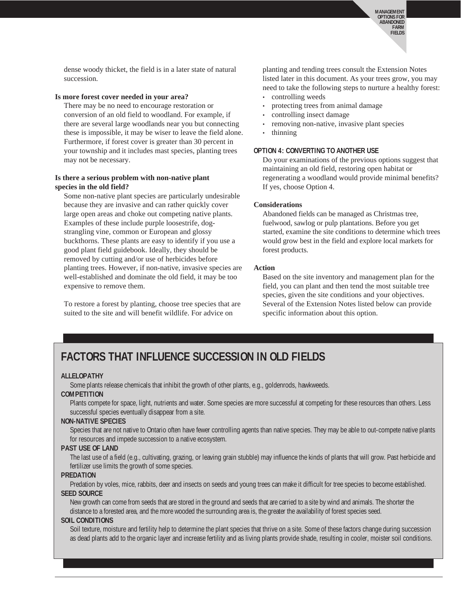dense woody thicket, the field is in a later state of natural succession.

#### **Is more forest cover needed in your area?**

There may be no need to encourage restoration or conversion of an old field to woodland. For example, if there are several large woodlands near you but connecting these is impossible, it may be wiser to leave the field alone. Furthermore, if forest cover is greater than 30 percent in your township and it includes mast species, planting trees may not be necessary.

#### **Is there a serious problem with non-native plant species in the old field?**

Some non-native plant species are particularly undesirable because they are invasive and can rather quickly cover large open areas and choke out competing native plants. Examples of these include purple loosestrife, dogstrangling vine, common or European and glossy buckthorns. These plants are easy to identify if you use a good plant field guidebook. Ideally, they should be removed by cutting and/or use of herbicides before planting trees. However, if non-native, invasive species are well-established and dominate the old field, it may be too expensive to remove them.

To restore a forest by planting, choose tree species that are suited to the site and will benefit wildlife. For advice on

planting and tending trees consult the Extension Notes listed later in this document. As your trees grow, you may need to take the following steps to nurture a healthy forest:

- controlling weeds
- protecting trees from animal damage
- controlling insect damage
- removing non-native, invasive plant species
- thinning

#### **OPTION 4: CONVERTING TO ANOTHER USE**

Do your examinations of the previous options suggest that maintaining an old field, restoring open habitat or regenerating a woodland would provide minimal benefits? If yes, choose Option 4.

#### **Considerations**

Abandoned fields can be managed as Christmas tree, fuelwood, sawlog or pulp plantations. Before you get started, examine the site conditions to determine which trees would grow best in the field and explore local markets for forest products.

#### **Action**

Based on the site inventory and management plan for the field, you can plant and then tend the most suitable tree species, given the site conditions and your objectives. Several of the Extension Notes listed below can provide specific information about this option.

# **FACTORS THAT INFLUENCE SUCCESSION IN OLD FIELDS**

#### **ALLELOPATHY**

Some plants release chemicals that inhibit the growth of other plants, e.g., goldenrods, hawkweeds.

#### **COMPETITION**

Plants compete for space, light, nutrients and water. Some species are more successful at competing for these resources than others. Less successful species eventually disappear from a site.

#### **NON-NATIVE SPECIES**

Species that are not native to Ontario often have fewer controlling agents than native species. They may be able to out-compete native plants for resources and impede succession to a native ecosystem.

#### **PAST USE OF LAND**

The last use of a field (e.g., cultivating, grazing, or leaving grain stubble) may influence the kinds of plants that will grow. Past herbicide and fertilizer use limits the growth of some species.

#### **PREDATION**

Predation by voles, mice, rabbits, deer and insects on seeds and young trees can make it difficult for tree species to become established. **SEED SOURCE**

New growth can come from seeds that are stored in the ground and seeds that are carried to a site by wind and animals. The shorter the distance to a forested area, and the more wooded the surrounding area is, the greater the availability of forest species seed.

#### **SOIL CONDITIONS**

Soil texture, moisture and fertility help to determine the plant species that thrive on a site. Some of these factors change during succession as dead plants add to the organic layer and increase fertility and as living plants provide shade, resulting in cooler, moister soil conditions.